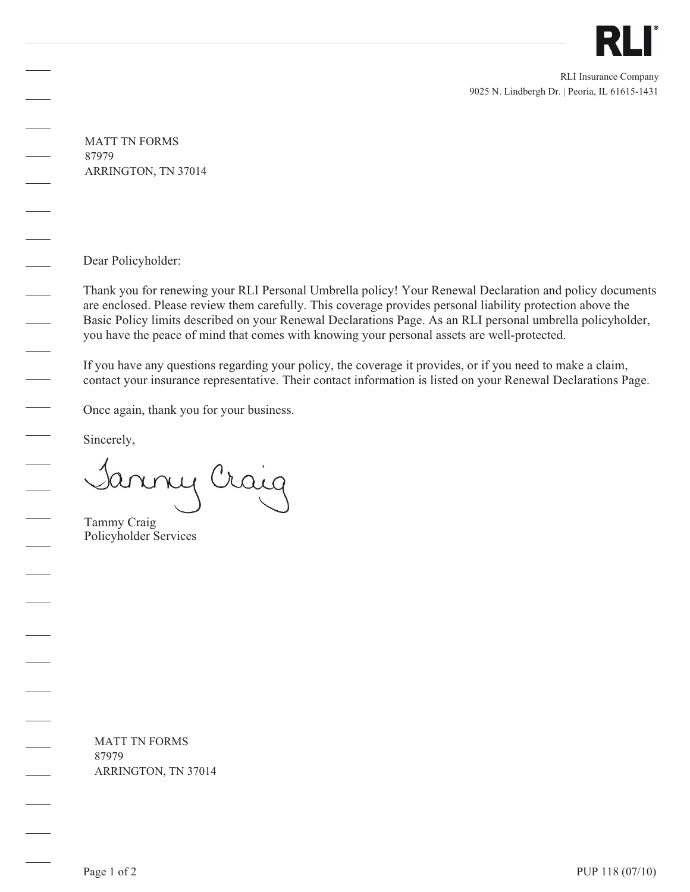

9025 N. Lindbergh Dr. | Peoria, IL 61615-1431 RLI Insurance Company

MATT TN FORMS 87979 ARRINGTON, TN 37014

Dear Policyholder:

Thank you for renewing your RLI Personal Umbrella policy! Your Renewal Declaration and policy documents are enclosed. Please review them carefully. This coverage provides personal liability protection above the Basic Policy limits described on your Renewal Declarations Page. As an RLI personal umbrella policyholder, you have the peace of mind that comes with knowing your personal assets are well-protected.

If you have any questions regarding your policy, the coverage it provides, or if you need to make a claim, contact your insurance representative. Their contact information is listed on your Renewal Declarations Page.

Once again, thank you for your business.

Sincerely,

my Craig

Tammy Craig Policyholder Services

MATT TN FORMS 87979 ARRINGTON, TN 37014